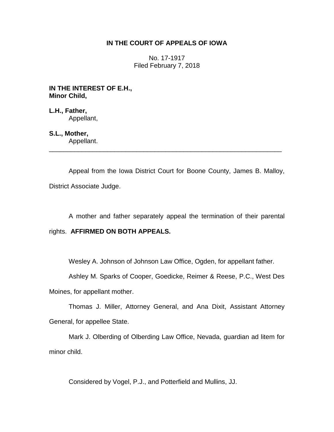# **IN THE COURT OF APPEALS OF IOWA**

No. 17-1917 Filed February 7, 2018

**IN THE INTEREST OF E.H., Minor Child,**

**L.H., Father,** Appellant,

**S.L., Mother,**

Appellant. \_\_\_\_\_\_\_\_\_\_\_\_\_\_\_\_\_\_\_\_\_\_\_\_\_\_\_\_\_\_\_\_\_\_\_\_\_\_\_\_\_\_\_\_\_\_\_\_\_\_\_\_\_\_\_\_\_\_\_\_\_\_\_\_

Appeal from the Iowa District Court for Boone County, James B. Malloy, District Associate Judge.

A mother and father separately appeal the termination of their parental

rights. **AFFIRMED ON BOTH APPEALS.** 

Wesley A. Johnson of Johnson Law Office, Ogden, for appellant father.

Ashley M. Sparks of Cooper, Goedicke, Reimer & Reese, P.C., West Des

Moines, for appellant mother.

Thomas J. Miller, Attorney General, and Ana Dixit, Assistant Attorney General, for appellee State.

Mark J. Olberding of Olberding Law Office, Nevada, guardian ad litem for minor child.

Considered by Vogel, P.J., and Potterfield and Mullins, JJ.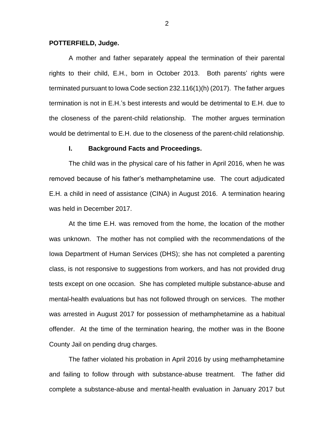## **POTTERFIELD, Judge.**

A mother and father separately appeal the termination of their parental rights to their child, E.H., born in October 2013. Both parents' rights were terminated pursuant to Iowa Code section 232.116(1)(h) (2017). The father argues termination is not in E.H.'s best interests and would be detrimental to E.H. due to the closeness of the parent-child relationship. The mother argues termination would be detrimental to E.H. due to the closeness of the parent-child relationship.

### **I. Background Facts and Proceedings.**

The child was in the physical care of his father in April 2016, when he was removed because of his father's methamphetamine use. The court adjudicated E.H. a child in need of assistance (CINA) in August 2016. A termination hearing was held in December 2017.

At the time E.H. was removed from the home, the location of the mother was unknown. The mother has not complied with the recommendations of the Iowa Department of Human Services (DHS); she has not completed a parenting class, is not responsive to suggestions from workers, and has not provided drug tests except on one occasion. She has completed multiple substance-abuse and mental-health evaluations but has not followed through on services. The mother was arrested in August 2017 for possession of methamphetamine as a habitual offender. At the time of the termination hearing, the mother was in the Boone County Jail on pending drug charges.

The father violated his probation in April 2016 by using methamphetamine and failing to follow through with substance-abuse treatment. The father did complete a substance-abuse and mental-health evaluation in January 2017 but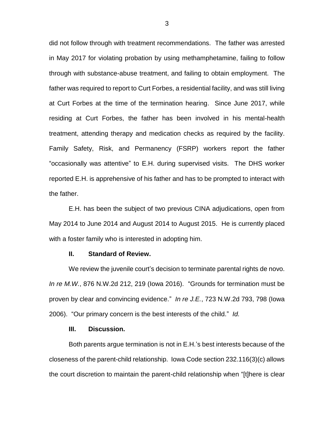did not follow through with treatment recommendations. The father was arrested in May 2017 for violating probation by using methamphetamine, failing to follow through with substance-abuse treatment, and failing to obtain employment. The father was required to report to Curt Forbes, a residential facility, and was still living at Curt Forbes at the time of the termination hearing. Since June 2017, while residing at Curt Forbes, the father has been involved in his mental-health treatment, attending therapy and medication checks as required by the facility. Family Safety, Risk, and Permanency (FSRP) workers report the father "occasionally was attentive" to E.H. during supervised visits. The DHS worker reported E.H. is apprehensive of his father and has to be prompted to interact with the father.

E.H. has been the subject of two previous CINA adjudications, open from May 2014 to June 2014 and August 2014 to August 2015. He is currently placed with a foster family who is interested in adopting him.

# **II. Standard of Review.**

We review the juvenile court's decision to terminate parental rights de novo. *In re M.W.*, 876 N.W.2d 212, 219 (Iowa 2016). "Grounds for termination must be proven by clear and convincing evidence." *In re J.E.*, 723 N.W.2d 793, 798 (Iowa 2006). "Our primary concern is the best interests of the child." *Id.*

## **III. Discussion.**

Both parents argue termination is not in E.H.'s best interests because of the closeness of the parent-child relationship. Iowa Code section 232.116(3)(c) allows the court discretion to maintain the parent-child relationship when "[t]here is clear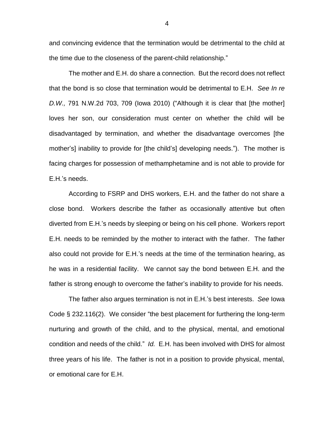and convincing evidence that the termination would be detrimental to the child at the time due to the closeness of the parent-child relationship."

The mother and E.H. do share a connection. But the record does not reflect that the bond is so close that termination would be detrimental to E.H. *See In re D.W.,* 791 N.W.2d 703, 709 (Iowa 2010) ("Although it is clear that [the mother] loves her son, our consideration must center on whether the child will be disadvantaged by termination, and whether the disadvantage overcomes [the mother's] inability to provide for [the child's] developing needs."). The mother is facing charges for possession of methamphetamine and is not able to provide for E.H.'s needs.

According to FSRP and DHS workers, E.H. and the father do not share a close bond. Workers describe the father as occasionally attentive but often diverted from E.H.'s needs by sleeping or being on his cell phone. Workers report E.H. needs to be reminded by the mother to interact with the father. The father also could not provide for E.H.'s needs at the time of the termination hearing, as he was in a residential facility. We cannot say the bond between E.H. and the father is strong enough to overcome the father's inability to provide for his needs.

The father also argues termination is not in E.H.'s best interests. *See* Iowa Code § 232.116(2). We consider "the best placement for furthering the long-term nurturing and growth of the child, and to the physical, mental, and emotional condition and needs of the child." *Id.* E.H. has been involved with DHS for almost three years of his life. The father is not in a position to provide physical, mental, or emotional care for E.H.

4